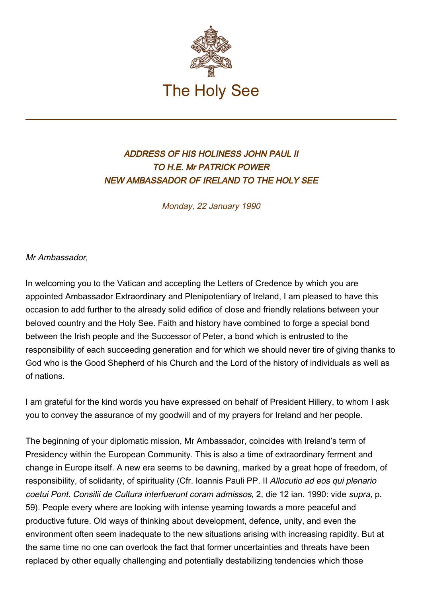

## ADDRESS OF HIS HOLINESS JOHN PAUL II TO H.E. Mr PATRICK POWER NEW AMBASSADOR OF IRELAND TO THE HOLY SEE

Monday, 22 January 1990

Mr Ambassador,

In welcoming you to the Vatican and accepting the Letters of Credence by which you are appointed Ambassador Extraordinary and Plenipotentiary of Ireland, I am pleased to have this occasion to add further to the already solid edifice of close and friendly relations between your beloved country and the Holy See. Faith and history have combined to forge a special bond between the Irish people and the Successor of Peter, a bond which is entrusted to the responsibility of each succeeding generation and for which we should never tire of giving thanks to God who is the Good Shepherd of his Church and the Lord of the history of individuals as well as of nations.

I am grateful for the kind words you have expressed on behalf of President Hillery, to whom I ask you to convey the assurance of my goodwill and of my prayers for Ireland and her people.

The beginning of your diplomatic mission, Mr Ambassador, coincides with Ireland's term of Presidency within the European Community. This is also a time of extraordinary ferment and change in Europe itself. A new era seems to be dawning, marked by a great hope of freedom, of responsibility, of solidarity, of spirituality (Cfr. Ioannis Pauli PP. II Allocutio ad eos qui plenario coetui Pont. Consilii de Cultura interfuerunt coram admissos, 2, die 12 ian. 1990: vide supra, p. 59). People every where are looking with intense yearning towards a more peaceful and productive future. Old ways of thinking about development, defence, unity, and even the environment often seem inadequate to the new situations arising with increasing rapidity. But at the same time no one can overlook the fact that former uncertainties and threats have been replaced by other equally challenging and potentially destabilizing tendencies which those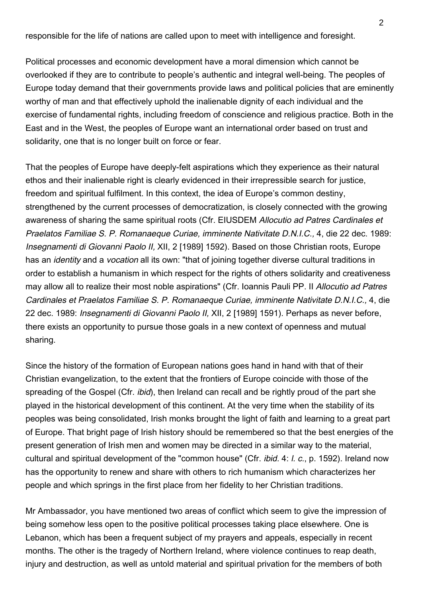responsible for the life of nations are called upon to meet with intelligence and foresight.

Political processes and economic development have a moral dimension which cannot be overlooked if they are to contribute to people's authentic and integral well-being. The peoples of Europe today demand that their governments provide laws and political policies that are eminently worthy of man and that effectively uphold the inalienable dignity of each individual and the exercise of fundamental rights, including freedom of conscience and religious practice. Both in the East and in the West, the peoples of Europe want an international order based on trust and solidarity, one that is no longer built on force or fear.

That the peoples of Europe have deeply-felt aspirations which they experience as their natural ethos and their inalienable right is clearly evidenced in their irrepressible search for justice, freedom and spiritual fulfilment. In this context, the idea of Europe's common destiny, strengthened by the current processes of democratization, is closely connected with the growing awareness of sharing the same spiritual roots (Cfr. EIUSDEM Allocutio ad Patres Cardinales et Praelatos Familiae S. P. Romanaeque Curiae, imminente Nativitate D.N.I.C., 4, die 22 dec. 1989: Insegnamenti di Giovanni Paolo II, XII, 2 [1989] 1592). Based on those Christian roots, Europe has an *identity* and a *vocation* all its own: "that of joining together diverse cultural traditions in order to establish a humanism in which respect for the rights of others solidarity and creativeness may allow all to realize their most noble aspirations" (Cfr. Ioannis Pauli PP. II Allocutio ad Patres Cardinales et Praelatos Familiae S. P. Romanaeque Curiae, imminente Nativitate D.N.I.C., 4, die 22 dec. 1989: Insegnamenti di Giovanni Paolo II, XII, 2 [1989] 1591). Perhaps as never before, there exists an opportunity to pursue those goals in a new context of openness and mutual sharing.

Since the history of the formation of European nations goes hand in hand with that of their Christian evangelization, to the extent that the frontiers of Europe coincide with those of the spreading of the Gospel (Cfr. *ibid*), then Ireland can recall and be rightly proud of the part she played in the historical development of this continent. At the very time when the stability of its peoples was being consolidated, Irish monks brought the light of faith and learning to a great part of Europe. That bright page of Irish history should be remembered so that the best energies of the present generation of Irish men and women may be directed in a similar way to the material, cultural and spiritual development of the "common house" (Cfr. *ibid.* 4: *l. c.*, p. 1592). Ireland now has the opportunity to renew and share with others to rich humanism which characterizes her people and which springs in the first place from her fidelity to her Christian traditions.

Mr Ambassador, you have mentioned two areas of conflict which seem to give the impression of being somehow less open to the positive political processes taking place elsewhere. One is Lebanon, which has been a frequent subject of my prayers and appeals, especially in recent months. The other is the tragedy of Northern Ireland, where violence continues to reap death, injury and destruction, as well as untold material and spiritual privation for the members of both